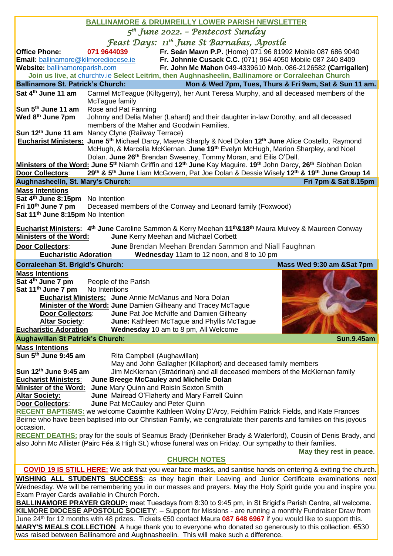## **BALLINAMORE & DRUMREILLY LOWER PARISH NEWSLETTER**

*5 th June 2022. – Pentecost Sunday* 

| <i>Feast Days: 11<sup>th</sup> June St Barnabas, Apostle</i><br>Fr. Seán Mawn P.P. (Home) 071 96 81992 Mobile 087 686 9040<br>071 9644039<br><b>Office Phone:</b><br>Fr. Johnnie Cusack C.C. (071) 964 4050 Mobile 087 240 8409<br>Email: ballinamore@kilmorediocese.ie<br>Fr. John Mc Mahon 049-4339610 Mob. 086-2126582 (Carrigallen)<br>Website: ballinamoreparish.com<br>Join us live, at churchtv.ie Select Leitrim, then Aughnasheelin, Ballinamore or Corraleehan Church<br><b>Ballinamore St. Patrick's Church:</b><br>Mon & Wed 7pm, Tues, Thurs & Fri 9am, Sat & Sun 11 am.<br>Carmel McTeague (Kiltygerry), her Aunt Teresa Murphy, and all deceased members of the<br>Sat 4 <sup>th</sup> June 11 am<br>McTague family<br>Sun 5 <sup>th</sup> June 11 am<br>Rose and Pat Fanning<br>Wed 8th June 7pm<br>Johnny and Delia Maher (Lahard) and their daughter in-law Dorothy, and all deceased<br>members of the Maher and Goodwin Families.<br>Sun 12 <sup>th</sup> June 11 am Nancy Clyne (Railway Terrace)<br>Eucharist Ministers: June 5 <sup>th</sup> Michael Darcy, Maeve Sharply & Noel Dolan 12 <sup>th</sup> June Alice Costello, Raymond<br>McHugh, & Marcella McKiernan. June 19 <sup>th</sup> Evelyn McHugh, Marion Sharpley, and Noel<br>Dolan. June 26 <sup>th</sup> Brendan Sweeney, Tommy Moran, and Eilis O'Dell.<br>Ministers of the Word: June 5 <sup>th</sup> Niamh Griffin and 12 <sup>th</sup> June Kay Maguire. 19 <sup>th</sup> John Darcy, 26 <sup>th</sup> Siobhan Dolan<br><b>Door Collectors:</b><br>29th & 5th June Liam McGovern, Pat Joe Dolan & Dessie Wisely 12th & 19th June Group 14<br>Aughnasheelin, St. Mary's Church: |
|-----------------------------------------------------------------------------------------------------------------------------------------------------------------------------------------------------------------------------------------------------------------------------------------------------------------------------------------------------------------------------------------------------------------------------------------------------------------------------------------------------------------------------------------------------------------------------------------------------------------------------------------------------------------------------------------------------------------------------------------------------------------------------------------------------------------------------------------------------------------------------------------------------------------------------------------------------------------------------------------------------------------------------------------------------------------------------------------------------------------------------------------------------------------------------------------------------------------------------------------------------------------------------------------------------------------------------------------------------------------------------------------------------------------------------------------------------------------------------------------------------------------------------------------------------------------------------------------------------------------------------------------------------------------------|
|                                                                                                                                                                                                                                                                                                                                                                                                                                                                                                                                                                                                                                                                                                                                                                                                                                                                                                                                                                                                                                                                                                                                                                                                                                                                                                                                                                                                                                                                                                                                                                                                                                                                       |
|                                                                                                                                                                                                                                                                                                                                                                                                                                                                                                                                                                                                                                                                                                                                                                                                                                                                                                                                                                                                                                                                                                                                                                                                                                                                                                                                                                                                                                                                                                                                                                                                                                                                       |
|                                                                                                                                                                                                                                                                                                                                                                                                                                                                                                                                                                                                                                                                                                                                                                                                                                                                                                                                                                                                                                                                                                                                                                                                                                                                                                                                                                                                                                                                                                                                                                                                                                                                       |
|                                                                                                                                                                                                                                                                                                                                                                                                                                                                                                                                                                                                                                                                                                                                                                                                                                                                                                                                                                                                                                                                                                                                                                                                                                                                                                                                                                                                                                                                                                                                                                                                                                                                       |
|                                                                                                                                                                                                                                                                                                                                                                                                                                                                                                                                                                                                                                                                                                                                                                                                                                                                                                                                                                                                                                                                                                                                                                                                                                                                                                                                                                                                                                                                                                                                                                                                                                                                       |
|                                                                                                                                                                                                                                                                                                                                                                                                                                                                                                                                                                                                                                                                                                                                                                                                                                                                                                                                                                                                                                                                                                                                                                                                                                                                                                                                                                                                                                                                                                                                                                                                                                                                       |
|                                                                                                                                                                                                                                                                                                                                                                                                                                                                                                                                                                                                                                                                                                                                                                                                                                                                                                                                                                                                                                                                                                                                                                                                                                                                                                                                                                                                                                                                                                                                                                                                                                                                       |
|                                                                                                                                                                                                                                                                                                                                                                                                                                                                                                                                                                                                                                                                                                                                                                                                                                                                                                                                                                                                                                                                                                                                                                                                                                                                                                                                                                                                                                                                                                                                                                                                                                                                       |
|                                                                                                                                                                                                                                                                                                                                                                                                                                                                                                                                                                                                                                                                                                                                                                                                                                                                                                                                                                                                                                                                                                                                                                                                                                                                                                                                                                                                                                                                                                                                                                                                                                                                       |
|                                                                                                                                                                                                                                                                                                                                                                                                                                                                                                                                                                                                                                                                                                                                                                                                                                                                                                                                                                                                                                                                                                                                                                                                                                                                                                                                                                                                                                                                                                                                                                                                                                                                       |
|                                                                                                                                                                                                                                                                                                                                                                                                                                                                                                                                                                                                                                                                                                                                                                                                                                                                                                                                                                                                                                                                                                                                                                                                                                                                                                                                                                                                                                                                                                                                                                                                                                                                       |
|                                                                                                                                                                                                                                                                                                                                                                                                                                                                                                                                                                                                                                                                                                                                                                                                                                                                                                                                                                                                                                                                                                                                                                                                                                                                                                                                                                                                                                                                                                                                                                                                                                                                       |
|                                                                                                                                                                                                                                                                                                                                                                                                                                                                                                                                                                                                                                                                                                                                                                                                                                                                                                                                                                                                                                                                                                                                                                                                                                                                                                                                                                                                                                                                                                                                                                                                                                                                       |
|                                                                                                                                                                                                                                                                                                                                                                                                                                                                                                                                                                                                                                                                                                                                                                                                                                                                                                                                                                                                                                                                                                                                                                                                                                                                                                                                                                                                                                                                                                                                                                                                                                                                       |
|                                                                                                                                                                                                                                                                                                                                                                                                                                                                                                                                                                                                                                                                                                                                                                                                                                                                                                                                                                                                                                                                                                                                                                                                                                                                                                                                                                                                                                                                                                                                                                                                                                                                       |
| Fri 7pm & Sat 8.15pm                                                                                                                                                                                                                                                                                                                                                                                                                                                                                                                                                                                                                                                                                                                                                                                                                                                                                                                                                                                                                                                                                                                                                                                                                                                                                                                                                                                                                                                                                                                                                                                                                                                  |
| <b>Mass Intentions</b><br>Sat 4 <sup>th</sup> June 8:15pm No Intention                                                                                                                                                                                                                                                                                                                                                                                                                                                                                                                                                                                                                                                                                                                                                                                                                                                                                                                                                                                                                                                                                                                                                                                                                                                                                                                                                                                                                                                                                                                                                                                                |
| Fri 10th June 7 pm<br>Deceased members of the Conway and Leonard family (Foxwood)                                                                                                                                                                                                                                                                                                                                                                                                                                                                                                                                                                                                                                                                                                                                                                                                                                                                                                                                                                                                                                                                                                                                                                                                                                                                                                                                                                                                                                                                                                                                                                                     |
| Sat 11 <sup>th</sup> June 8:15pm No Intention                                                                                                                                                                                                                                                                                                                                                                                                                                                                                                                                                                                                                                                                                                                                                                                                                                                                                                                                                                                                                                                                                                                                                                                                                                                                                                                                                                                                                                                                                                                                                                                                                         |
|                                                                                                                                                                                                                                                                                                                                                                                                                                                                                                                                                                                                                                                                                                                                                                                                                                                                                                                                                                                                                                                                                                                                                                                                                                                                                                                                                                                                                                                                                                                                                                                                                                                                       |
| Eucharist Ministers: 4 <sup>th</sup> June Caroline Sammon & Kerry Meehan 11 <sup>th</sup> & 18 <sup>th</sup> Maura Mulvey & Maureen Conway                                                                                                                                                                                                                                                                                                                                                                                                                                                                                                                                                                                                                                                                                                                                                                                                                                                                                                                                                                                                                                                                                                                                                                                                                                                                                                                                                                                                                                                                                                                            |
| <b>Ministers of the Word:</b><br>June Kerry Meehan and Michael Corbett                                                                                                                                                                                                                                                                                                                                                                                                                                                                                                                                                                                                                                                                                                                                                                                                                                                                                                                                                                                                                                                                                                                                                                                                                                                                                                                                                                                                                                                                                                                                                                                                |
| <b>June</b> Brendan Meehan Brendan Sammon and Niall Faughnan<br>Door Collectors:                                                                                                                                                                                                                                                                                                                                                                                                                                                                                                                                                                                                                                                                                                                                                                                                                                                                                                                                                                                                                                                                                                                                                                                                                                                                                                                                                                                                                                                                                                                                                                                      |
| Wednesday 11am to 12 noon, and 8 to 10 pm<br><b>Eucharistic Adoration</b>                                                                                                                                                                                                                                                                                                                                                                                                                                                                                                                                                                                                                                                                                                                                                                                                                                                                                                                                                                                                                                                                                                                                                                                                                                                                                                                                                                                                                                                                                                                                                                                             |
| Mass Wed 9:30 am &Sat 7pm<br>Corraleehan St. Brigid's Church:                                                                                                                                                                                                                                                                                                                                                                                                                                                                                                                                                                                                                                                                                                                                                                                                                                                                                                                                                                                                                                                                                                                                                                                                                                                                                                                                                                                                                                                                                                                                                                                                         |
| <b>Mass Intentions</b>                                                                                                                                                                                                                                                                                                                                                                                                                                                                                                                                                                                                                                                                                                                                                                                                                                                                                                                                                                                                                                                                                                                                                                                                                                                                                                                                                                                                                                                                                                                                                                                                                                                |
| Sat 4 <sup>th</sup> June 7 pm<br>People of the Parish<br>Sat 11 <sup>th</sup> June 7 pm<br>No Intentions                                                                                                                                                                                                                                                                                                                                                                                                                                                                                                                                                                                                                                                                                                                                                                                                                                                                                                                                                                                                                                                                                                                                                                                                                                                                                                                                                                                                                                                                                                                                                              |
| <b>Eucharist Ministers: June Annie McManus and Nora Dolan</b>                                                                                                                                                                                                                                                                                                                                                                                                                                                                                                                                                                                                                                                                                                                                                                                                                                                                                                                                                                                                                                                                                                                                                                                                                                                                                                                                                                                                                                                                                                                                                                                                         |
| <b>Minister of the Word: June Damien Gilheany and Tracey McTague</b>                                                                                                                                                                                                                                                                                                                                                                                                                                                                                                                                                                                                                                                                                                                                                                                                                                                                                                                                                                                                                                                                                                                                                                                                                                                                                                                                                                                                                                                                                                                                                                                                  |
| <b>Door Collectors:</b><br>June Pat Joe McNiffe and Damien Gilheany                                                                                                                                                                                                                                                                                                                                                                                                                                                                                                                                                                                                                                                                                                                                                                                                                                                                                                                                                                                                                                                                                                                                                                                                                                                                                                                                                                                                                                                                                                                                                                                                   |
| <b>Altar Society:</b><br>June: Kathleen McTague and Phyllis McTague                                                                                                                                                                                                                                                                                                                                                                                                                                                                                                                                                                                                                                                                                                                                                                                                                                                                                                                                                                                                                                                                                                                                                                                                                                                                                                                                                                                                                                                                                                                                                                                                   |
| <b>Eucharistic Adoration</b><br>Wednesday 10 am to 8 pm, All Welcome                                                                                                                                                                                                                                                                                                                                                                                                                                                                                                                                                                                                                                                                                                                                                                                                                                                                                                                                                                                                                                                                                                                                                                                                                                                                                                                                                                                                                                                                                                                                                                                                  |
| <b>Sun.9.45am</b><br><b>Aughawillan St Patrick's Church:</b>                                                                                                                                                                                                                                                                                                                                                                                                                                                                                                                                                                                                                                                                                                                                                                                                                                                                                                                                                                                                                                                                                                                                                                                                                                                                                                                                                                                                                                                                                                                                                                                                          |
| <b>Mass Intentions</b>                                                                                                                                                                                                                                                                                                                                                                                                                                                                                                                                                                                                                                                                                                                                                                                                                                                                                                                                                                                                                                                                                                                                                                                                                                                                                                                                                                                                                                                                                                                                                                                                                                                |
| Sun 5 <sup>th</sup> June 9:45 am<br>Rita Campbell (Aughawillan)                                                                                                                                                                                                                                                                                                                                                                                                                                                                                                                                                                                                                                                                                                                                                                                                                                                                                                                                                                                                                                                                                                                                                                                                                                                                                                                                                                                                                                                                                                                                                                                                       |
| May and John Gallagher (Killaphort) and deceased family members                                                                                                                                                                                                                                                                                                                                                                                                                                                                                                                                                                                                                                                                                                                                                                                                                                                                                                                                                                                                                                                                                                                                                                                                                                                                                                                                                                                                                                                                                                                                                                                                       |
| Jim McKiernan (Strádrinan) and all deceased members of the McKiernan family<br>Sun 12th June 9:45 am<br>June Breege McCauley and Michelle Dolan<br><b>Eucharist Ministers:</b>                                                                                                                                                                                                                                                                                                                                                                                                                                                                                                                                                                                                                                                                                                                                                                                                                                                                                                                                                                                                                                                                                                                                                                                                                                                                                                                                                                                                                                                                                        |
| June Mary Quinn and Roisín Sexton Smith<br><b>Minister of the Word:</b>                                                                                                                                                                                                                                                                                                                                                                                                                                                                                                                                                                                                                                                                                                                                                                                                                                                                                                                                                                                                                                                                                                                                                                                                                                                                                                                                                                                                                                                                                                                                                                                               |
| <b>Altar Society:</b><br>June Mairead O'Flaherty and Mary Farrell Quinn                                                                                                                                                                                                                                                                                                                                                                                                                                                                                                                                                                                                                                                                                                                                                                                                                                                                                                                                                                                                                                                                                                                                                                                                                                                                                                                                                                                                                                                                                                                                                                                               |
| Door Collectors:<br>June Pat McCauley and Peter Quinn                                                                                                                                                                                                                                                                                                                                                                                                                                                                                                                                                                                                                                                                                                                                                                                                                                                                                                                                                                                                                                                                                                                                                                                                                                                                                                                                                                                                                                                                                                                                                                                                                 |
| <b>RECENT BAPTISMS:</b> we welcome Caoimhe Kathleen Wolny D'Arcy, Feidhlim Patrick Fields, and Kate Frances                                                                                                                                                                                                                                                                                                                                                                                                                                                                                                                                                                                                                                                                                                                                                                                                                                                                                                                                                                                                                                                                                                                                                                                                                                                                                                                                                                                                                                                                                                                                                           |
| Beirne who have been baptised into our Christian Family, we congratulate their parents and families on this joyous                                                                                                                                                                                                                                                                                                                                                                                                                                                                                                                                                                                                                                                                                                                                                                                                                                                                                                                                                                                                                                                                                                                                                                                                                                                                                                                                                                                                                                                                                                                                                    |
| occasion.                                                                                                                                                                                                                                                                                                                                                                                                                                                                                                                                                                                                                                                                                                                                                                                                                                                                                                                                                                                                                                                                                                                                                                                                                                                                                                                                                                                                                                                                                                                                                                                                                                                             |
| <b>RECENT DEATHS:</b> pray for the souls of Seamus Brady (Derinkeher Brady & Waterford), Cousin of Denis Brady, and<br>also John Mc Allister (Pairc Féa & High St.) whose funeral was on Friday. Our sympathy to their families.                                                                                                                                                                                                                                                                                                                                                                                                                                                                                                                                                                                                                                                                                                                                                                                                                                                                                                                                                                                                                                                                                                                                                                                                                                                                                                                                                                                                                                      |
| May they rest in peace.                                                                                                                                                                                                                                                                                                                                                                                                                                                                                                                                                                                                                                                                                                                                                                                                                                                                                                                                                                                                                                                                                                                                                                                                                                                                                                                                                                                                                                                                                                                                                                                                                                               |
| <b>CHURCH NOTES</b>                                                                                                                                                                                                                                                                                                                                                                                                                                                                                                                                                                                                                                                                                                                                                                                                                                                                                                                                                                                                                                                                                                                                                                                                                                                                                                                                                                                                                                                                                                                                                                                                                                                   |
| <b>COVID 19 IS STILL HERE:</b> We ask that you wear face masks, and sanitise hands on entering & exiting the church.                                                                                                                                                                                                                                                                                                                                                                                                                                                                                                                                                                                                                                                                                                                                                                                                                                                                                                                                                                                                                                                                                                                                                                                                                                                                                                                                                                                                                                                                                                                                                  |
|                                                                                                                                                                                                                                                                                                                                                                                                                                                                                                                                                                                                                                                                                                                                                                                                                                                                                                                                                                                                                                                                                                                                                                                                                                                                                                                                                                                                                                                                                                                                                                                                                                                                       |
|                                                                                                                                                                                                                                                                                                                                                                                                                                                                                                                                                                                                                                                                                                                                                                                                                                                                                                                                                                                                                                                                                                                                                                                                                                                                                                                                                                                                                                                                                                                                                                                                                                                                       |
| <b>WISHING ALL STUDENTS SUCCESS:</b> as they begin their Leaving and Junior Certificate examinations next                                                                                                                                                                                                                                                                                                                                                                                                                                                                                                                                                                                                                                                                                                                                                                                                                                                                                                                                                                                                                                                                                                                                                                                                                                                                                                                                                                                                                                                                                                                                                             |
| Wednesday. We will be remembering you in our masses and prayers. May the Holy Spirit guide you and inspire you.<br>Exam Prayer Cards available in Church Porch.                                                                                                                                                                                                                                                                                                                                                                                                                                                                                                                                                                                                                                                                                                                                                                                                                                                                                                                                                                                                                                                                                                                                                                                                                                                                                                                                                                                                                                                                                                       |
| BALLINAMORE PRAYER GROUP: meet Tuesdays from 8:30 to 9:45 pm, in St Brigid's Parish Centre, all welcome.                                                                                                                                                                                                                                                                                                                                                                                                                                                                                                                                                                                                                                                                                                                                                                                                                                                                                                                                                                                                                                                                                                                                                                                                                                                                                                                                                                                                                                                                                                                                                              |
| KILMORE DIOCESE APOSTOLIC SOCIETY: - Support for Missions - are running a monthly Fundraiser Draw from<br>June 24 <sup>th</sup> for 12 months with 48 prizes. Tickets €50 contact Maura 087 648 6967 if you would like to support this.                                                                                                                                                                                                                                                                                                                                                                                                                                                                                                                                                                                                                                                                                                                                                                                                                                                                                                                                                                                                                                                                                                                                                                                                                                                                                                                                                                                                                               |

was raised between Ballinamore and Aughnasheelin. This will make such a difference.